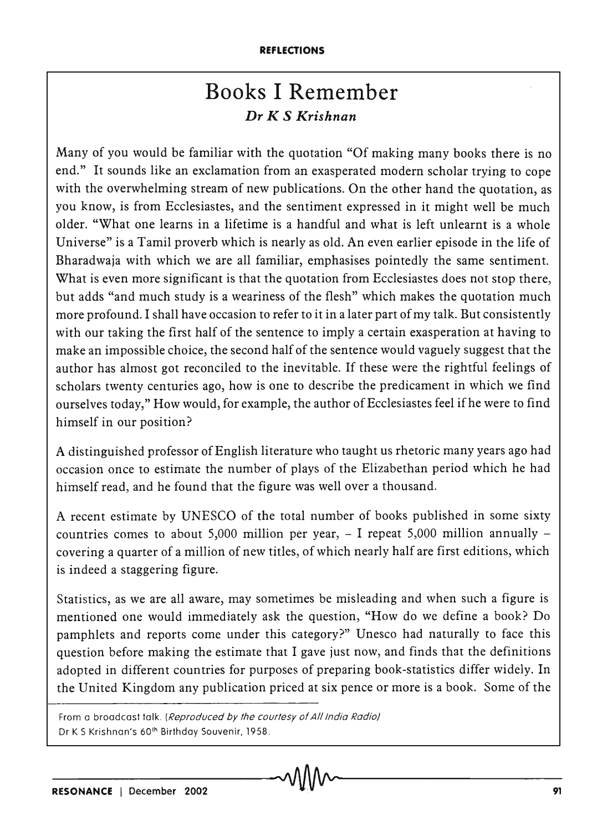# **Books I Remember Dr** *K* **S** *Krishnan*

Many of you would be familiar with the quotation "Of making many books there is no end." It sounds like an exclamation from an exasperated modern scholar trying to cope with the overwhelming stream of new publications. On the other hand the quotation, as you know, is from Ecclesiastes, and the sentiment expressed in it might well be much older. "What one learns in a lifetime is a handful and what is left unlearnt is a whole Universe" is a Tamil proverb which is nearly as old. An even earlier episode in the life of Bharadwaja with which we are all familiar, emphasises pointedly the same sentiment. What is even more significant is that the quotation from Ecclesiastes does not stop there, but adds "and much study is a weariness of the flesh" which makes the quotation much more profound. I shall have occasion to refer to it in a later part of my talk. But consistently with our taking the first half of the sentence to imply a certain exasperation at having to make an impossible choice, the second half of the sentence would vaguely suggest that the author has almost got reconciled to the inevitable. If these were the rightful feelings of scholars twenty centuries ago, how is one to describe the predicament in which we find ourselves today," How would, for example, the author of Ecclesiastes feel ifhe were to find himself in our position?

A distinguished professor of English literature who taught us rhetoric many years ago had occasion once to estimate the number of plays of the Elizabethan period which he had himself read, and he found that the figure was well over a thousand.

A recent estimate by UNESCO of the total number of books published in some sixty countries comes to about 5,000 million per year,  $-1$  repeat 5,000 million annually  $$ covering a quarter of a million of new titles, of which nearly half are first editions, which is indeed a staggering figure.

Statistics, as we are all aware, may sometimes be misleading and when such a figure is mentioned one would immediately ask the question, "How do we define a book? Do pamphlets and reports come under this category?" Unesco had naturally to face this question before making the estimate that I gave just now, and finds that the definitions adopted in different countries for purposes of preparing book-statistics differ widely. In the United Kingdom any publication priced at six pence or more is a book. Some of the

From a broadcast talk. (Reproduced by the courtesy of All India Radio) Dr K S Krishnan's 60<sup>th</sup> Birthday Souvenir, 1958.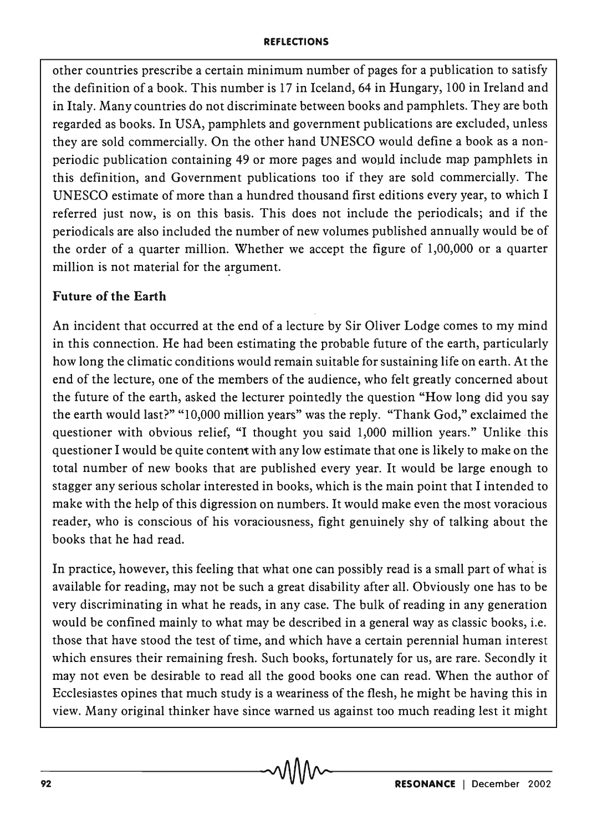#### REFLECTIONS

other countries prescribe a certain minimum number of pages for a publication to satisfy the definition of a book. This number is 17 in Iceland, 64 in Hungary, 100 in Ireland and in Italy. Many countries do not discriminate between books and pamphlets. They are both regarded as books. In USA, pamphlets and government publications are excluded, unless they are sold commercially. On the other hand UNESCO would define a book as a nonperiodic publication containing 49 or more pages and would include map pamphlets in this definition, and Government publications too if they are sold commercially. The UNESCO estimate of more than a hundred thousand first editions every year, to which I referred just now, is on this basis. This does not include the periodicals; and if the periodicals are also included the number of new volumes published annually would be of the order of a quarter million. Whether we accept the figure of 1,00,000 or a quarter million is not material for the argument.

### Future of the Earth

An incident that occurred at the end of a lecture by Sir Oliver Lodge comes to my mind in this connection. He had been estimating the probable future of the earth, particularly how long the climatic conditions would remain suitable for sustaining life on earth. At the end of the lecture, one of the members of the audience, who felt greatly concerned about the future of the earth, asked the lecturer pointedly the question "How long did you say the earth would last?" "10,000 million years" was the reply. "Thank God," exclaimed the questioner with obvious relief, "I thought you said 1,000 million years." Unlike this questioner I would be quite content with any low estimate that one is likely to make on the total number of new books that are published every year. It would be large enough to stagger any serious scholar interested in books, which is the main point that I intended to make with the help of this digression on numbers. It would make even the most voracious reader, who is conscious of his voraciousness, fight genuinely shy of talking about the books that he had read.

In practice, however, this feeling that what one can possibly read is a small part of what is available for reading, may not be such a great disability after all. Obviously one has to be very discriminating in what he reads, in any case. The bulk of reading in any generation would be confined mainly to what may be described in a general way as classic books, i.e. those that have stood the test of time, and which have a certain perennial human interest which ensures their remaining fresh. Such books, fortunately for us, are rare. Secondly it may not even be desirable to read all the good books one can read. When the author of Ecclesiastes opines that much study is a weariness of the flesh, he might be having this in view. Many original thinker have since warned us against too much reading lest it might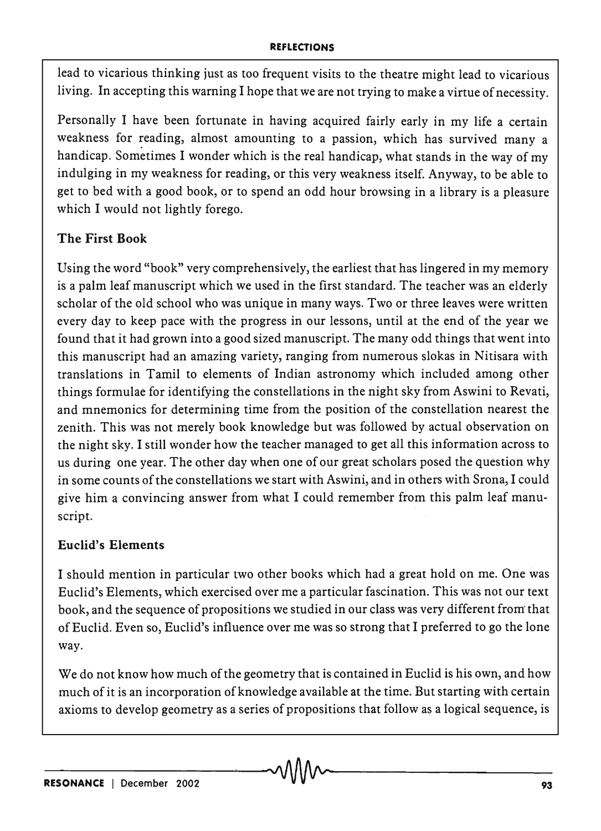#### **REFLECTIONS**

lead to vicarious thinking just as too frequent visits to the theatre might lead to vicarious living. In accepting this warning I hope that we are not trying to make a virtue of necessity.

Personally I have been fortunate in having acquired fairly early in my life a certain weakness for reading, almost amounting to a passion, which has survived many a handicap. Sometimes I wonder which is the real handicap, what stands in the way of my indulging in my weakness for reading, or this very weakness itself. Anyway, to be able to get to bed with a good book, or to spend an odd hour browsing in a library is a pleasure which I would not lightly forego.

## The First Book

Using the word "book" very comprehensively, the earliest that has lingered in my memory is a palm leaf manuscript which we used in the first standard. The teacher was an elderly scholar of the old school who was unique in many ways. Two or three leaves were written every day to keep pace with the progress in our lessons, until at the end of the year we found that it had grown into a good sized manuscript. The many odd things that went into this manuscript had an amazing variety, ranging from numerous slokas in Nitisara with translations in Tamil to elements of Indian astronomy which included among other things formulae for identifying the constellations in the night sky from Aswini to Revati, and mnemonics for determining time from the position of the constellation nearest the zenith. This was not merely book knowledge but was followed by actual observation on the night sky. I still wonder how the teacher managed to get all this information across to us during one year. The other day when one of our great scholars posed the question why in some counts of the constellations we start with Aswini, and in others with Srona, I could give him a convincing answer from what I could remember from this palm leaf manuscript.

## Euclid's Elements

I should mention in particular two other books which had a great hold on me. One was Euclid's Elements, which exercised over me a particular fascination. This was not our text book, and the sequence of propositions we studied in our class was very different from' that of Euclid. Even so, Euclid's influence over me was so strong that I preferred to go the lone way.

We do not know how much of the geometry that is contained in Euclid is his own, and how much of it is an incorporation of knowledge available at the time. But starting with certain axioms to develop geometry as a series of propositions that follow as a logical sequence, is